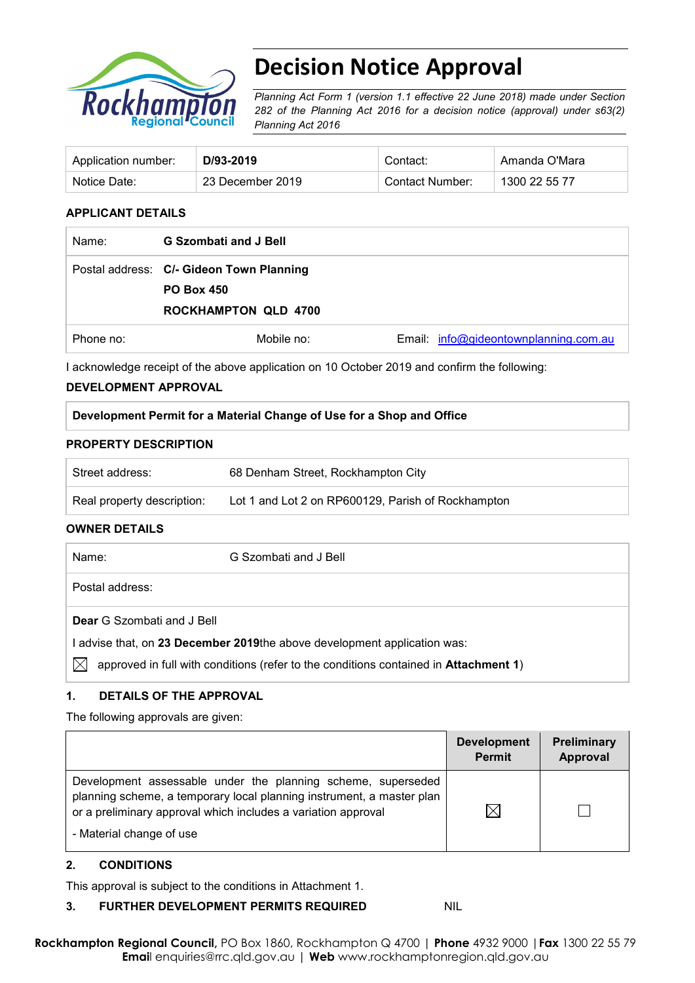

# **Decision Notice Approval**

*Planning Act Form 1 (version 1.1 effective 22 June 2018) made under Section 282 of the Planning Act 2016 for a decision notice (approval) under s63(2) Planning Act 2016*

| Application number: | D/93-2019        | Contact:        | Amanda O'Mara |
|---------------------|------------------|-----------------|---------------|
| Notice Date:        | 23 December 2019 | Contact Number: | 1300 22 55 77 |

### **APPLICANT DETAILS**

| Name:     | <b>G Szombati and J Bell</b>             |                                       |
|-----------|------------------------------------------|---------------------------------------|
|           | Postal address: C/- Gideon Town Planning |                                       |
|           | <b>PO Box 450</b>                        |                                       |
|           | <b>ROCKHAMPTON QLD 4700</b>              |                                       |
| Phone no: | Mobile no:                               | Email: info@gideontownplanning.com.au |

I acknowledge receipt of the above application on 10 October 2019 and confirm the following:

#### **DEVELOPMENT APPROVAL**

#### **Development Permit for a Material Change of Use for a Shop and Office**

#### **PROPERTY DESCRIPTION**

| Street address:            | 68 Denham Street, Rockhampton City                 |
|----------------------------|----------------------------------------------------|
| Real property description: | Lot 1 and Lot 2 on RP600129, Parish of Rockhampton |

#### **OWNER DETAILS**

| Name:                                                                  | G Szombati and J Bell                                                                        |  |  |
|------------------------------------------------------------------------|----------------------------------------------------------------------------------------------|--|--|
| Postal address:                                                        |                                                                                              |  |  |
| <b>Dear</b> G Szombati and J Bell                                      |                                                                                              |  |  |
| advise that, on 23 December 2019the above development application was: |                                                                                              |  |  |
|                                                                        | approved in full with conditions (refer to the conditions contained in <b>Attachment 1</b> ) |  |  |

### **1. DETAILS OF THE APPROVAL**

The following approvals are given:

|                                                                                                                                                                                                                                    | <b>Development</b><br><b>Permit</b> | Preliminary<br>Approval |
|------------------------------------------------------------------------------------------------------------------------------------------------------------------------------------------------------------------------------------|-------------------------------------|-------------------------|
| Development assessable under the planning scheme, superseded<br>planning scheme, a temporary local planning instrument, a master plan<br>or a preliminary approval which includes a variation approval<br>- Material change of use |                                     |                         |

#### **2. CONDITIONS**

This approval is subject to the conditions in Attachment 1.

#### **3. FURTHER DEVELOPMENT PERMITS REQUIRED** NIL

**Rockhampton Regional Council,** PO Box 1860, Rockhampton Q 4700 | **Phone** 4932 9000 |**Fax** 1300 22 55 79 **Emai**l enquiries@rrc.qld.gov.au | **Web** www.rockhamptonregion.qld.gov.au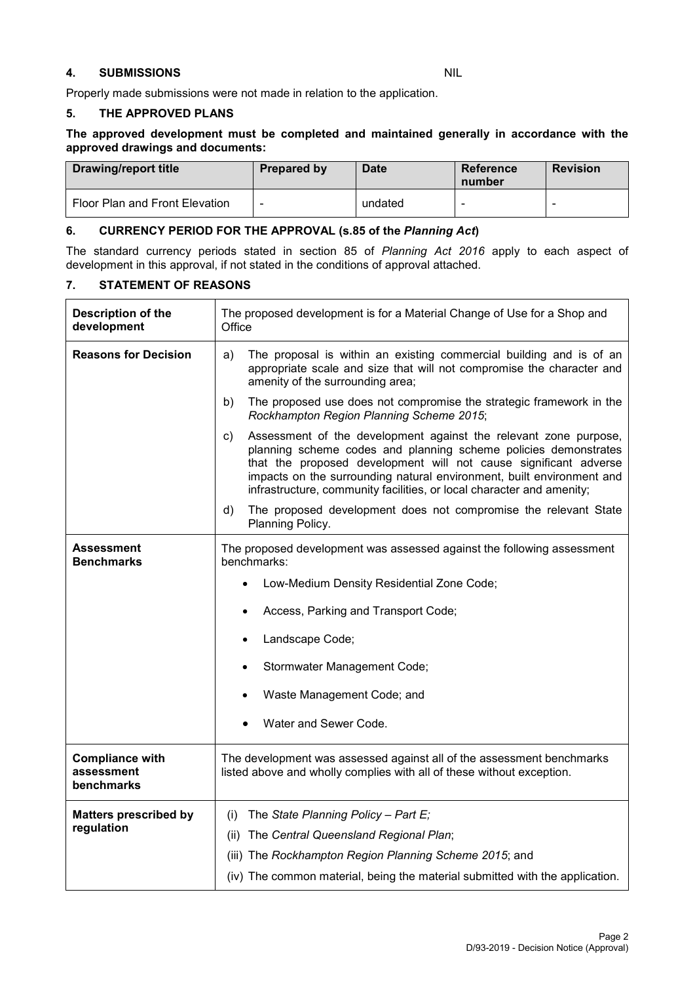#### **4. SUBMISSIONS** NIL

Properly made submissions were not made in relation to the application.

#### **5. THE APPROVED PLANS**

#### **The approved development must be completed and maintained generally in accordance with the approved drawings and documents:**

| <b>Drawing/report title</b>    | Prepared by | <b>Date</b> | Reference<br>number | <b>Revision</b> |
|--------------------------------|-------------|-------------|---------------------|-----------------|
| Floor Plan and Front Elevation |             | undated     |                     |                 |

#### **6. CURRENCY PERIOD FOR THE APPROVAL (s.85 of the** *Planning Act***)**

The standard currency periods stated in section 85 of *Planning Act 2016* apply to each aspect of development in this approval, if not stated in the conditions of approval attached.

#### **7. STATEMENT OF REASONS**

| Description of the<br>development                  | The proposed development is for a Material Change of Use for a Shop and<br>Office                                                                                                                                                                                                                                                                               |  |  |
|----------------------------------------------------|-----------------------------------------------------------------------------------------------------------------------------------------------------------------------------------------------------------------------------------------------------------------------------------------------------------------------------------------------------------------|--|--|
| <b>Reasons for Decision</b>                        | The proposal is within an existing commercial building and is of an<br>a)<br>appropriate scale and size that will not compromise the character and<br>amenity of the surrounding area;                                                                                                                                                                          |  |  |
|                                                    | The proposed use does not compromise the strategic framework in the<br>b)<br>Rockhampton Region Planning Scheme 2015;                                                                                                                                                                                                                                           |  |  |
|                                                    | Assessment of the development against the relevant zone purpose,<br>C)<br>planning scheme codes and planning scheme policies demonstrates<br>that the proposed development will not cause significant adverse<br>impacts on the surrounding natural environment, built environment and<br>infrastructure, community facilities, or local character and amenity; |  |  |
|                                                    | The proposed development does not compromise the relevant State<br>d)<br>Planning Policy.                                                                                                                                                                                                                                                                       |  |  |
| Assessment<br><b>Benchmarks</b>                    | The proposed development was assessed against the following assessment<br>benchmarks:                                                                                                                                                                                                                                                                           |  |  |
|                                                    | Low-Medium Density Residential Zone Code;                                                                                                                                                                                                                                                                                                                       |  |  |
|                                                    | Access, Parking and Transport Code;                                                                                                                                                                                                                                                                                                                             |  |  |
|                                                    | Landscape Code;                                                                                                                                                                                                                                                                                                                                                 |  |  |
|                                                    | Stormwater Management Code;                                                                                                                                                                                                                                                                                                                                     |  |  |
|                                                    | Waste Management Code; and                                                                                                                                                                                                                                                                                                                                      |  |  |
|                                                    | Water and Sewer Code.                                                                                                                                                                                                                                                                                                                                           |  |  |
| <b>Compliance with</b><br>assessment<br>benchmarks | The development was assessed against all of the assessment benchmarks<br>listed above and wholly complies with all of these without exception.                                                                                                                                                                                                                  |  |  |
| <b>Matters prescribed by</b>                       | The State Planning Policy - Part $E_i$<br>(i)                                                                                                                                                                                                                                                                                                                   |  |  |
| regulation                                         | (ii) The Central Queensland Regional Plan;                                                                                                                                                                                                                                                                                                                      |  |  |
|                                                    | (iii) The Rockhampton Region Planning Scheme 2015; and                                                                                                                                                                                                                                                                                                          |  |  |
|                                                    | (iv) The common material, being the material submitted with the application.                                                                                                                                                                                                                                                                                    |  |  |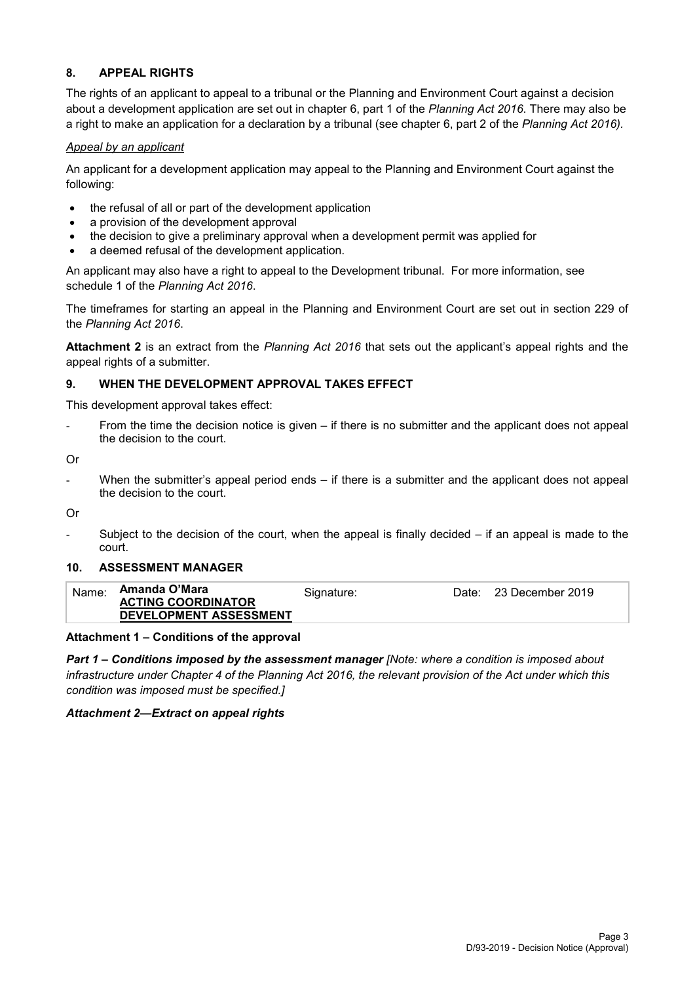#### **8. APPEAL RIGHTS**

The rights of an applicant to appeal to a tribunal or the Planning and Environment Court against a decision about a development application are set out in chapter 6, part 1 of the *Planning Act 2016*. There may also be a right to make an application for a declaration by a tribunal (see chapter 6, part 2 of the *Planning Act 2016).*

#### *Appeal by an applicant*

An applicant for a development application may appeal to the Planning and Environment Court against the following:

- the refusal of all or part of the development application
- a provision of the development approval
- the decision to give a preliminary approval when a development permit was applied for
- a deemed refusal of the development application.

An applicant may also have a right to appeal to the Development tribunal. For more information, see schedule 1 of the *Planning Act 2016*.

The timeframes for starting an appeal in the Planning and Environment Court are set out in section 229 of the *Planning Act 2016*.

**Attachment 2** is an extract from the *Planning Act 2016* that sets out the applicant's appeal rights and the appeal rights of a submitter.

#### **9. WHEN THE DEVELOPMENT APPROVAL TAKES EFFECT**

This development approval takes effect:

From the time the decision notice is given  $-$  if there is no submitter and the applicant does not appeal the decision to the court.

Or

When the submitter's appeal period ends  $-$  if there is a submitter and the applicant does not appeal the decision to the court.

Or

Subject to the decision of the court, when the appeal is finally decided  $-$  if an appeal is made to the court.

#### **10. ASSESSMENT MANAGER**

| Name: | Amanda O'Mara             | Signature: | Date: | 23 December 2019 |
|-------|---------------------------|------------|-------|------------------|
|       | <b>ACTING COORDINATOR</b> |            |       |                  |
|       | DEVELOPMENT ASSESSMENT    |            |       |                  |

#### **Attachment 1 – Conditions of the approval**

*Part 1* **–** *Conditions imposed by the assessment manager [Note: where a condition is imposed about infrastructure under Chapter 4 of the Planning Act 2016, the relevant provision of the Act under which this condition was imposed must be specified.]*

#### *Attachment 2—Extract on appeal rights*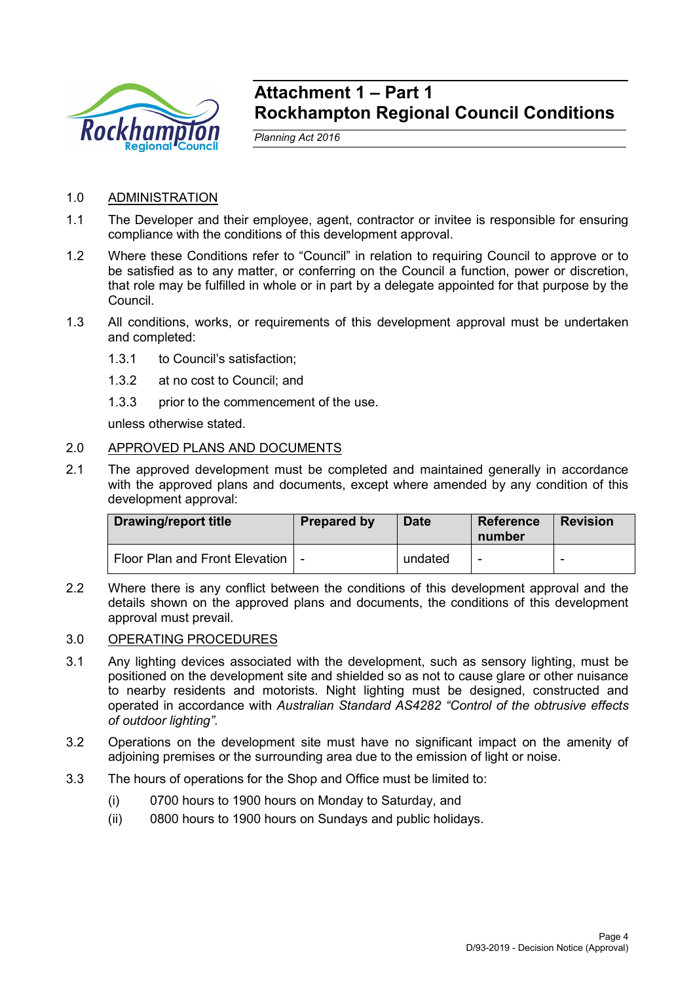

## **Attachment 1 – Part 1 Rockhampton Regional Council Conditions**

*Planning Act 2016*

## 1.0 ADMINISTRATION

- 1.1 The Developer and their employee, agent, contractor or invitee is responsible for ensuring compliance with the conditions of this development approval.
- 1.2 Where these Conditions refer to "Council" in relation to requiring Council to approve or to be satisfied as to any matter, or conferring on the Council a function, power or discretion, that role may be fulfilled in whole or in part by a delegate appointed for that purpose by the Council.
- 1.3 All conditions, works, or requirements of this development approval must be undertaken and completed:
	- 1.3.1 to Council's satisfaction;
	- 1.3.2 at no cost to Council; and
	- 1.3.3 prior to the commencement of the use.

unless otherwise stated.

## 2.0 APPROVED PLANS AND DOCUMENTS

2.1 The approved development must be completed and maintained generally in accordance with the approved plans and documents, except where amended by any condition of this development approval:

| <b>Drawing/report title</b>    | <b>Prepared by</b> | <b>Date</b> | Reference<br>number | <b>Revision</b> |
|--------------------------------|--------------------|-------------|---------------------|-----------------|
| Floor Plan and Front Elevation |                    | undated     |                     |                 |

2.2 Where there is any conflict between the conditions of this development approval and the details shown on the approved plans and documents, the conditions of this development approval must prevail.

## 3.0 OPERATING PROCEDURES

- 3.1 Any lighting devices associated with the development, such as sensory lighting, must be positioned on the development site and shielded so as not to cause glare or other nuisance to nearby residents and motorists. Night lighting must be designed, constructed and operated in accordance with *Australian Standard AS4282 "Control of the obtrusive effects of outdoor lighting"*.
- 3.2 Operations on the development site must have no significant impact on the amenity of adjoining premises or the surrounding area due to the emission of light or noise.
- 3.3 The hours of operations for the Shop and Office must be limited to:
	- (i) 0700 hours to 1900 hours on Monday to Saturday, and
	- (ii) 0800 hours to 1900 hours on Sundays and public holidays.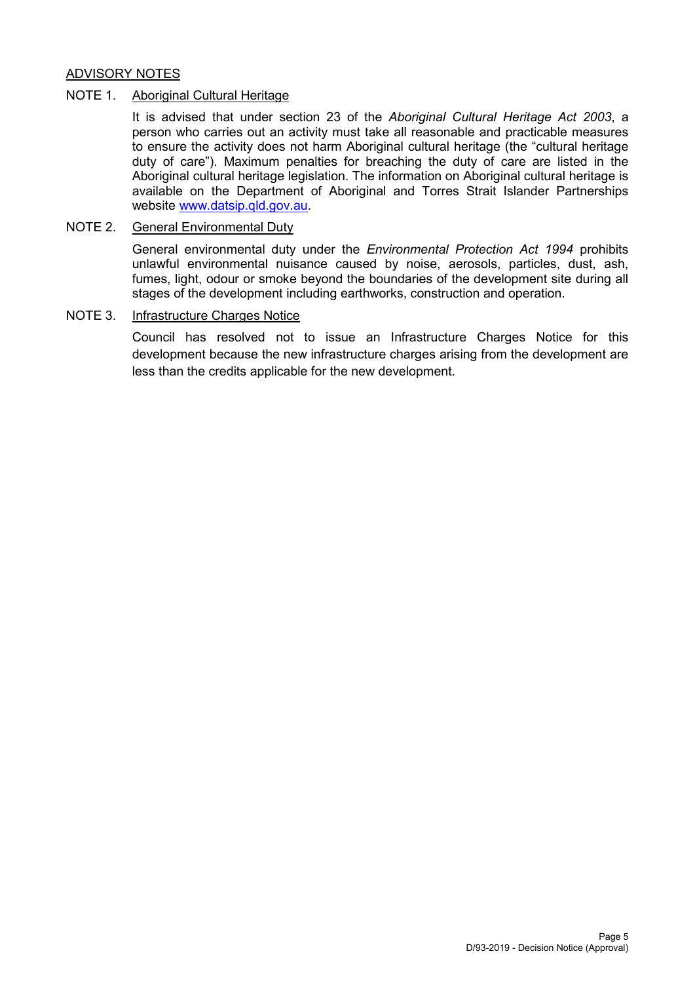## ADVISORY NOTES

#### NOTE 1. Aboriginal Cultural Heritage

It is advised that under section 23 of the *Aboriginal Cultural Heritage Act 2003*, a person who carries out an activity must take all reasonable and practicable measures to ensure the activity does not harm Aboriginal cultural heritage (the "cultural heritage duty of care"). Maximum penalties for breaching the duty of care are listed in the Aboriginal cultural heritage legislation. The information on Aboriginal cultural heritage is available on the Department of Aboriginal and Torres Strait Islander Partnerships website [www.datsip.qld.gov.au.](http://www.datsip.qld.gov.au/)

### NOTE 2. General Environmental Duty

General environmental duty under the *Environmental Protection Act 1994* prohibits unlawful environmental nuisance caused by noise, aerosols, particles, dust, ash, fumes, light, odour or smoke beyond the boundaries of the development site during all stages of the development including earthworks, construction and operation.

#### NOTE 3. Infrastructure Charges Notice

Council has resolved not to issue an Infrastructure Charges Notice for this development because the new infrastructure charges arising from the development are less than the credits applicable for the new development.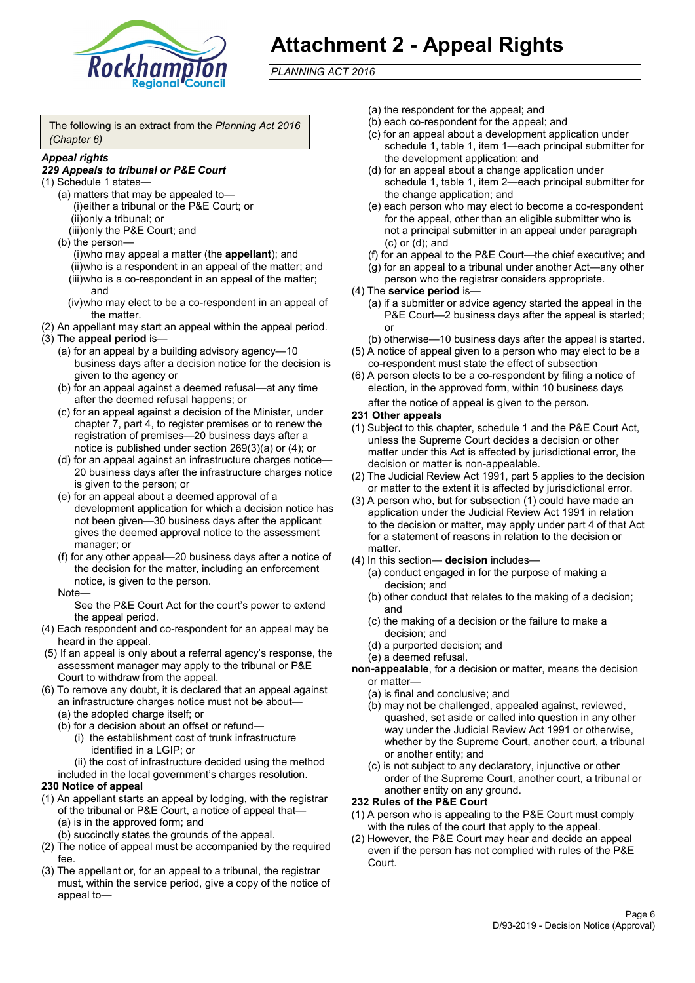

## **Attachment 2 - Appeal Rights**

*PLANNING ACT 2016*

The following is an extract from the *Planning Act 2016 (Chapter 6)*

#### *Appeal rights*

#### *229 Appeals to tribunal or P&E Court*

- (1) Schedule 1 states—
	- (a) matters that may be appealed to— (i)either a tribunal or the P&E Court; or (ii)only a tribunal; or (iii)only the P&E Court; and
	- (b) the person—

(i)who may appeal a matter (the **appellant**); and (ii)who is a respondent in an appeal of the matter; and (iii)who is a co-respondent in an appeal of the matter; and

- (iv)who may elect to be a co-respondent in an appeal of the matter.
- (2) An appellant may start an appeal within the appeal period.
- (3) The **appeal period** is—
	- (a) for an appeal by a building advisory agency—10 business days after a decision notice for the decision is given to the agency or
	- (b) for an appeal against a deemed refusal—at any time after the deemed refusal happens; or
	- (c) for an appeal against a decision of the Minister, under chapter 7, part 4, to register premises or to renew the registration of premises—20 business days after a notice is published under section 269(3)(a) or (4); or
	- (d) for an appeal against an infrastructure charges notice— 20 business days after the infrastructure charges notice is given to the person; or
	- (e) for an appeal about a deemed approval of a development application for which a decision notice has not been given—30 business days after the applicant gives the deemed approval notice to the assessment manager; or
	- (f) for any other appeal—20 business days after a notice of the decision for the matter, including an enforcement notice, is given to the person.

#### Note—

See the P&E Court Act for the court's power to extend the appeal period.

- (4) Each respondent and co-respondent for an appeal may be heard in the appeal.
- (5) If an appeal is only about a referral agency's response, the assessment manager may apply to the tribunal or P&E Court to withdraw from the appeal.
- (6) To remove any doubt, it is declared that an appeal against an infrastructure charges notice must not be about—
	- (a) the adopted charge itself; or
	- (b) for a decision about an offset or refund—
		- (i) the establishment cost of trunk infrastructure identified in a LGIP; or
		- (ii) the cost of infrastructure decided using the method

included in the local government's charges resolution.

- **230 Notice of appeal**
- (1) An appellant starts an appeal by lodging, with the registrar of the tribunal or P&E Court, a notice of appeal that—
	- (a) is in the approved form; and
	- (b) succinctly states the grounds of the appeal.
- (2) The notice of appeal must be accompanied by the required fee.
- (3) The appellant or, for an appeal to a tribunal, the registrar must, within the service period, give a copy of the notice of appeal to—
- (a) the respondent for the appeal; and
- (b) each co-respondent for the appeal; and
- (c) for an appeal about a development application under schedule 1, table 1, item 1—each principal submitter for the development application; and
- (d) for an appeal about a change application under schedule 1, table 1, item 2—each principal submitter for the change application; and
- (e) each person who may elect to become a co-respondent for the appeal, other than an eligible submitter who is not a principal submitter in an appeal under paragraph (c) or (d); and
- (f) for an appeal to the P&E Court—the chief executive; and
- (g) for an appeal to a tribunal under another Act—any other person who the registrar considers appropriate.
- (4) The **service period** is—
	- (a) if a submitter or advice agency started the appeal in the P&E Court—2 business days after the appeal is started; or
	- (b) otherwise—10 business days after the appeal is started.
- (5) A notice of appeal given to a person who may elect to be a co-respondent must state the effect of subsection
- (6) A person elects to be a co-respondent by filing a notice of election, in the approved form, within 10 business days after the notice of appeal is given to the person*.*
- **231 Other appeals**
- (1) Subject to this chapter, schedule 1 and the P&E Court Act, unless the Supreme Court decides a decision or other matter under this Act is affected by jurisdictional error, the decision or matter is non-appealable.
- (2) The Judicial Review Act 1991, part 5 applies to the decision or matter to the extent it is affected by jurisdictional error.
- (3) A person who, but for subsection (1) could have made an application under the Judicial Review Act 1991 in relation to the decision or matter, may apply under part 4 of that Act for a statement of reasons in relation to the decision or matter.
- (4) In this section— **decision** includes—
	- (a) conduct engaged in for the purpose of making a decision; and
	- (b) other conduct that relates to the making of a decision; and
	- (c) the making of a decision or the failure to make a decision; and
	- (d) a purported decision; and
	- (e) a deemed refusal.

**non-appealable**, for a decision or matter, means the decision or matter—

- (a) is final and conclusive; and
- (b) may not be challenged, appealed against, reviewed, quashed, set aside or called into question in any other way under the Judicial Review Act 1991 or otherwise, whether by the Supreme Court, another court, a tribunal or another entity; and
- (c) is not subject to any declaratory, injunctive or other order of the Supreme Court, another court, a tribunal or another entity on any ground.

#### **232 Rules of the P&E Court**

- (1) A person who is appealing to the P&E Court must comply with the rules of the court that apply to the appeal.
- (2) However, the P&E Court may hear and decide an appeal even if the person has not complied with rules of the P&E Court.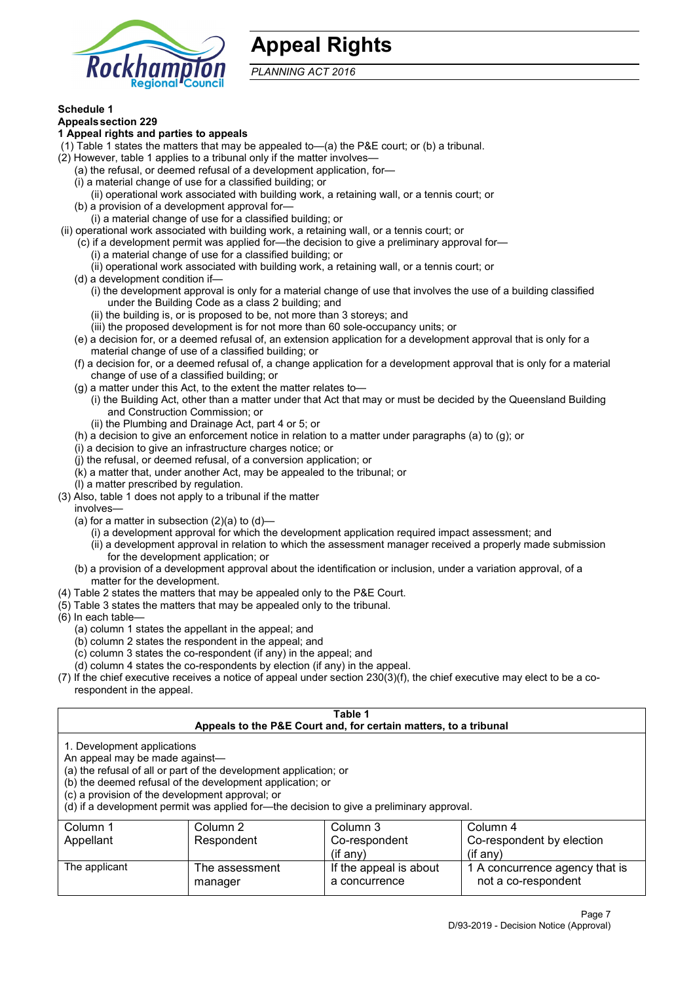

## **Appeal Rights**

*PLANNING ACT 2016*

#### **Schedule 1**

## **Appealssection 229**

#### **1 Appeal rights and parties to appeals**

- (1) Table 1 states the matters that may be appealed to—(a) the P&E court; or (b) a tribunal.
- (2) However, table 1 applies to a tribunal only if the matter involves—
	- (a) the refusal, or deemed refusal of a development application, for—
	- (i) a material change of use for a classified building; or
	- (ii) operational work associated with building work, a retaining wall, or a tennis court; or
	- (b) a provision of a development approval for—
	- (i) a material change of use for a classified building; or
- (ii) operational work associated with building work, a retaining wall, or a tennis court; or
	- (c) if a development permit was applied for—the decision to give a preliminary approval for—
		- (i) a material change of use for a classified building; or
		- (ii) operational work associated with building work, a retaining wall, or a tennis court; or
	- (d) a development condition if—
		- (i) the development approval is only for a material change of use that involves the use of a building classified under the Building Code as a class 2 building; and
		- (ii) the building is, or is proposed to be, not more than 3 storeys; and
		- (iii) the proposed development is for not more than 60 sole-occupancy units; or
	- (e) a decision for, or a deemed refusal of, an extension application for a development approval that is only for a material change of use of a classified building; or
	- (f) a decision for, or a deemed refusal of, a change application for a development approval that is only for a material change of use of a classified building; or
	- (g) a matter under this Act, to the extent the matter relates to—
		- (i) the Building Act, other than a matter under that Act that may or must be decided by the Queensland Building and Construction Commission; or
		- (ii) the Plumbing and Drainage Act, part 4 or 5; or
	- (h) a decision to give an enforcement notice in relation to a matter under paragraphs (a) to (g); or
	- (i) a decision to give an infrastructure charges notice; or
	- (j) the refusal, or deemed refusal, of a conversion application; or
	- (k) a matter that, under another Act, may be appealed to the tribunal; or
	- (l) a matter prescribed by regulation.
- (3) Also, table 1 does not apply to a tribunal if the matter

involves—

- (a) for a matter in subsection  $(2)(a)$  to  $(d)$ 
	- (i) a development approval for which the development application required impact assessment; and
	- (ii) a development approval in relation to which the assessment manager received a properly made submission for the development application; or
- (b) a provision of a development approval about the identification or inclusion, under a variation approval, of a matter for the development.
- (4) Table 2 states the matters that may be appealed only to the P&E Court.
- (5) Table 3 states the matters that may be appealed only to the tribunal.
- (6) In each table—
	- (a) column 1 states the appellant in the appeal; and
	- (b) column 2 states the respondent in the appeal; and
	- (c) column 3 states the co-respondent (if any) in the appeal; and
	- (d) column 4 states the co-respondents by election (if any) in the appeal.
- (7) If the chief executive receives a notice of appeal under section 230(3)(f), the chief executive may elect to be a corespondent in the appeal.

| Table 1                                                                                                          |                                                                                                                                                                                                                            |                                                                  |                                                       |  |
|------------------------------------------------------------------------------------------------------------------|----------------------------------------------------------------------------------------------------------------------------------------------------------------------------------------------------------------------------|------------------------------------------------------------------|-------------------------------------------------------|--|
|                                                                                                                  |                                                                                                                                                                                                                            | Appeals to the P&E Court and, for certain matters, to a tribunal |                                                       |  |
| 1. Development applications<br>An appeal may be made against-<br>(c) a provision of the development approval; or | (a) the refusal of all or part of the development application; or<br>(b) the deemed refusal of the development application; or<br>(d) if a development permit was applied for-the decision to give a preliminary approval. |                                                                  |                                                       |  |
| Column 1                                                                                                         | Column 2                                                                                                                                                                                                                   | Column 3                                                         | Column 4                                              |  |
| Appellant                                                                                                        | Respondent                                                                                                                                                                                                                 | Co-respondent                                                    | Co-respondent by election                             |  |
| $($ if any $)$<br>(if anv)                                                                                       |                                                                                                                                                                                                                            |                                                                  |                                                       |  |
| The applicant                                                                                                    | The assessment<br>manager                                                                                                                                                                                                  | If the appeal is about<br>a concurrence                          | 1 A concurrence agency that is<br>not a co-respondent |  |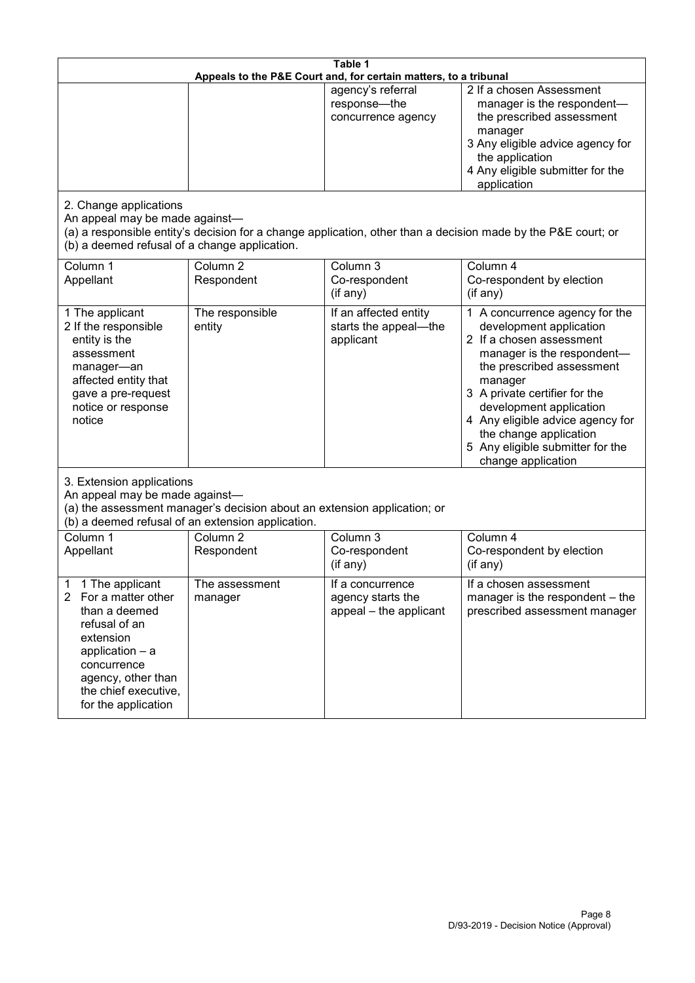| Table 1<br>Appeals to the P&E Court and, for certain matters, to a tribunal                                                                                                                           |                                                                                                                               |                                                                 |                                                                                                                                                                                                                                                                                                                                                 |  |
|-------------------------------------------------------------------------------------------------------------------------------------------------------------------------------------------------------|-------------------------------------------------------------------------------------------------------------------------------|-----------------------------------------------------------------|-------------------------------------------------------------------------------------------------------------------------------------------------------------------------------------------------------------------------------------------------------------------------------------------------------------------------------------------------|--|
|                                                                                                                                                                                                       |                                                                                                                               | agency's referral<br>response-the<br>concurrence agency         | 2 If a chosen Assessment<br>manager is the respondent-<br>the prescribed assessment<br>manager<br>3 Any eligible advice agency for<br>the application<br>4 Any eligible submitter for the<br>application                                                                                                                                        |  |
| 2. Change applications<br>An appeal may be made against-<br>(b) a deemed refusal of a change application.                                                                                             |                                                                                                                               |                                                                 | (a) a responsible entity's decision for a change application, other than a decision made by the P&E court; or                                                                                                                                                                                                                                   |  |
| Column 1<br>Appellant                                                                                                                                                                                 | Column <sub>2</sub><br>Respondent                                                                                             | Column 3<br>Co-respondent<br>(if any)                           | Column 4<br>Co-respondent by election<br>(if any)                                                                                                                                                                                                                                                                                               |  |
| 1 The applicant<br>2 If the responsible<br>entity is the<br>assessment<br>manager-an<br>affected entity that<br>gave a pre-request<br>notice or response<br>notice                                    | The responsible<br>entity                                                                                                     | If an affected entity<br>starts the appeal-the<br>applicant     | 1 A concurrence agency for the<br>development application<br>2 If a chosen assessment<br>manager is the respondent-<br>the prescribed assessment<br>manager<br>3 A private certifier for the<br>development application<br>4 Any eligible advice agency for<br>the change application<br>5 Any eligible submitter for the<br>change application |  |
| 3. Extension applications<br>An appeal may be made against-                                                                                                                                           | (a) the assessment manager's decision about an extension application; or<br>(b) a deemed refusal of an extension application. |                                                                 |                                                                                                                                                                                                                                                                                                                                                 |  |
| Column 1<br>Appellant                                                                                                                                                                                 | Column <sub>2</sub><br>Respondent                                                                                             | Column 3<br>Co-respondent<br>(if any)                           | Column 4<br>Co-respondent by election<br>(if any)                                                                                                                                                                                                                                                                                               |  |
| 1 The applicant<br>1<br>2<br>For a matter other<br>than a deemed<br>refusal of an<br>extension<br>application - a<br>concurrence<br>agency, other than<br>the chief executive,<br>for the application | The assessment<br>manager                                                                                                     | If a concurrence<br>agency starts the<br>appeal - the applicant | If a chosen assessment<br>manager is the respondent - the<br>prescribed assessment manager                                                                                                                                                                                                                                                      |  |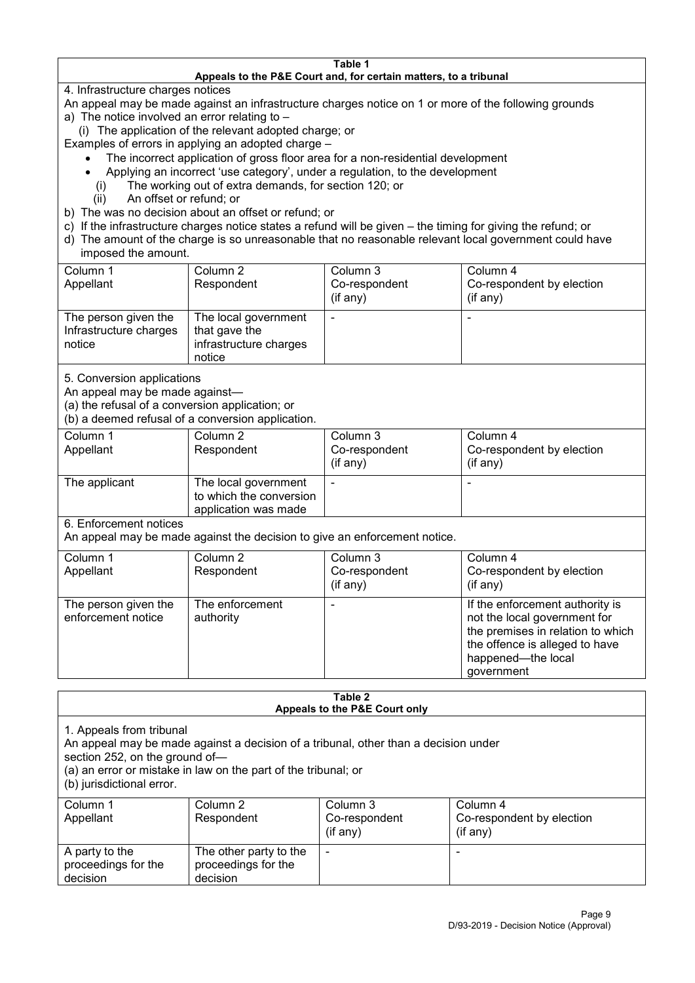#### **Table 1 Appeals to the P&E Court and, for certain matters, to a tribunal**

4. Infrastructure charges notices

- An appeal may be made against an infrastructure charges notice on 1 or more of the following grounds
- a) The notice involved an error relating to
	- (i) The application of the relevant adopted charge; or
- Examples of errors in applying an adopted charge
	- The incorrect application of gross floor area for a non-residential development
	- Applying an incorrect 'use category', under a regulation, to the development
	- (i) The working out of extra demands, for section 120; or
	- (ii) An offset or refund; or
- b) The was no decision about an offset or refund; or
- c) If the infrastructure charges notice states a refund will be given the timing for giving the refund; or
- d) The amount of the charge is so unreasonable that no reasonable relevant local government could have

## imposed the amount.

| Column 1                         | Column 2                                | Column 3      | Column 4                  |
|----------------------------------|-----------------------------------------|---------------|---------------------------|
| Appellant                        | Respondent                              | Co-respondent | Co-respondent by election |
|                                  |                                         | (if any)      | $($ if any $)$            |
| The person given the             | The local government                    |               |                           |
| Infrastructure charges<br>notice | that gave the<br>infrastructure charges |               |                           |
|                                  |                                         |               |                           |
|                                  | notice                                  |               |                           |

5. Conversion applications

An appeal may be made against—

(a) the refusal of a conversion application; or

(b) a deemed refusal of a conversion application.

| Column 1<br>Appellant | Column 2<br>Respondent                                                  | Column 3<br>Co-respondent<br>$($ if any $)$ | Column 4<br>Co-respondent by election<br>$($ if any $)$ |
|-----------------------|-------------------------------------------------------------------------|---------------------------------------------|---------------------------------------------------------|
| The applicant         | The local government<br>to which the conversion<br>application was made |                                             |                                                         |

6. Enforcement notices

An appeal may be made against the decision to give an enforcement notice.

| Column 1                                   | Column 2                     | Column 3      | Column 4                                                                                                                                                                   |
|--------------------------------------------|------------------------------|---------------|----------------------------------------------------------------------------------------------------------------------------------------------------------------------------|
| Appellant                                  | Respondent                   | Co-respondent | Co-respondent by election                                                                                                                                                  |
|                                            |                              | (if any)      | $($ if any $)$                                                                                                                                                             |
| The person given the<br>enforcement notice | The enforcement<br>authority |               | If the enforcement authority is<br>not the local government for<br>the premises in relation to which<br>the offence is alleged to have<br>happened-the local<br>government |

#### **Table 2 Appeals to the P&E Court only**

1. Appeals from tribunal

An appeal may be made against a decision of a tribunal, other than a decision under

section 252, on the ground of—

(a) an error or mistake in law on the part of the tribunal; or

(b) jurisdictional error.

| Column 1<br>Appellant                             | Column 2<br>Respondent                                    | Column 3<br>Co-respondent<br>$(if$ any) | Column 4<br>Co-respondent by election<br>(if any) |
|---------------------------------------------------|-----------------------------------------------------------|-----------------------------------------|---------------------------------------------------|
| A party to the<br>proceedings for the<br>decision | The other party to the<br>proceedings for the<br>decision | ۰                                       |                                                   |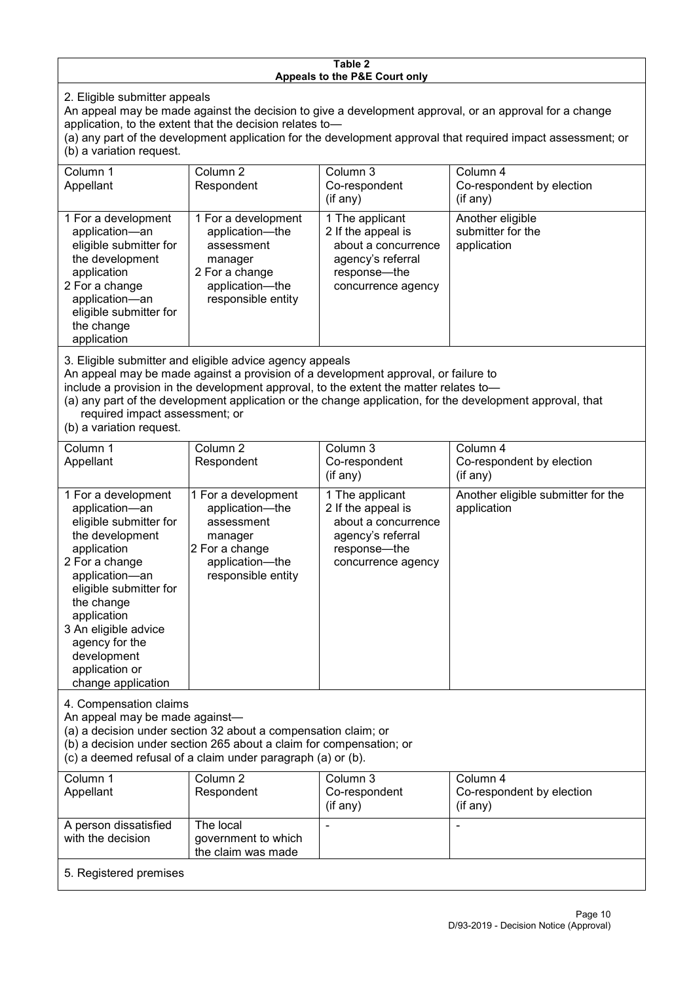#### **Table 2 Appeals to the P&E Court only**

2. Eligible submitter appeals

An appeal may be made against the decision to give a development approval, or an approval for a change application, to the extent that the decision relates to—

(a) any part of the development application for the development approval that required impact assessment; or (b) a variation request.

| Column 1                                                                                                                                                                                     | Column 2                                                                                                                   | Column 3                                                                                                                  | Column 4                                             |
|----------------------------------------------------------------------------------------------------------------------------------------------------------------------------------------------|----------------------------------------------------------------------------------------------------------------------------|---------------------------------------------------------------------------------------------------------------------------|------------------------------------------------------|
| Appellant                                                                                                                                                                                    | Respondent                                                                                                                 | Co-respondent                                                                                                             | Co-respondent by election                            |
|                                                                                                                                                                                              |                                                                                                                            | (if any)                                                                                                                  | (if any)                                             |
| 1 For a development<br>application-an<br>eligible submitter for<br>the development<br>application<br>2 For a change<br>application-an<br>eligible submitter for<br>the change<br>application | 1 For a development<br>application-the<br>assessment<br>manager<br>2 For a change<br>application-the<br>responsible entity | 1 The applicant<br>2 If the appeal is<br>about a concurrence<br>agency's referral<br>response---the<br>concurrence agency | Another eligible<br>submitter for the<br>application |
| O. Eliaikha ankarittan and aliaikha admias ananan ann an ala                                                                                                                                 |                                                                                                                            |                                                                                                                           |                                                      |

3. Eligible submitter and eligible advice agency appeals

An appeal may be made against a provision of a development approval, or failure to

include a provision in the development approval, to the extent the matter relates to—

(a) any part of the development application or the change application, for the development approval, that required impact assessment; or

(b) a variation request.

| Column 1<br>Appellant                                                                                                                                                                                                                                                                         | Column <sub>2</sub><br>Respondent                                                                                          | Column 3<br>Co-respondent<br>(if any)                                                                                   | Column 4<br>Co-respondent by election<br>(if any) |  |
|-----------------------------------------------------------------------------------------------------------------------------------------------------------------------------------------------------------------------------------------------------------------------------------------------|----------------------------------------------------------------------------------------------------------------------------|-------------------------------------------------------------------------------------------------------------------------|---------------------------------------------------|--|
| 1 For a development<br>application-an<br>eligible submitter for<br>the development<br>application<br>2 For a change<br>application-an<br>eligible submitter for<br>the change<br>application<br>3 An eligible advice<br>agency for the<br>development<br>application or<br>change application | 1 For a development<br>application-the<br>assessment<br>manager<br>2 For a change<br>application-the<br>responsible entity | 1 The applicant<br>2 If the appeal is<br>about a concurrence<br>agency's referral<br>response-the<br>concurrence agency | Another eligible submitter for the<br>application |  |
| 4. Compensation claims<br>An appeal may be made against-<br>(a) a decision under section 32 about a compensation claim; or<br>(b) a decision under section 265 about a claim for compensation; or<br>(c) a deemed refusal of a claim under paragraph (a) or (b).                              |                                                                                                                            |                                                                                                                         |                                                   |  |
| Column 1<br>Appellant                                                                                                                                                                                                                                                                         | Column <sub>2</sub><br>Respondent                                                                                          | Column 3<br>Co-respondent<br>(if any)                                                                                   | Column 4<br>Co-respondent by election<br>(if any) |  |
| A person dissatisfied<br>with the decision                                                                                                                                                                                                                                                    | The local<br>government to which<br>the claim was made                                                                     | ٠                                                                                                                       | ۰                                                 |  |
| 5. Registered premises                                                                                                                                                                                                                                                                        |                                                                                                                            |                                                                                                                         |                                                   |  |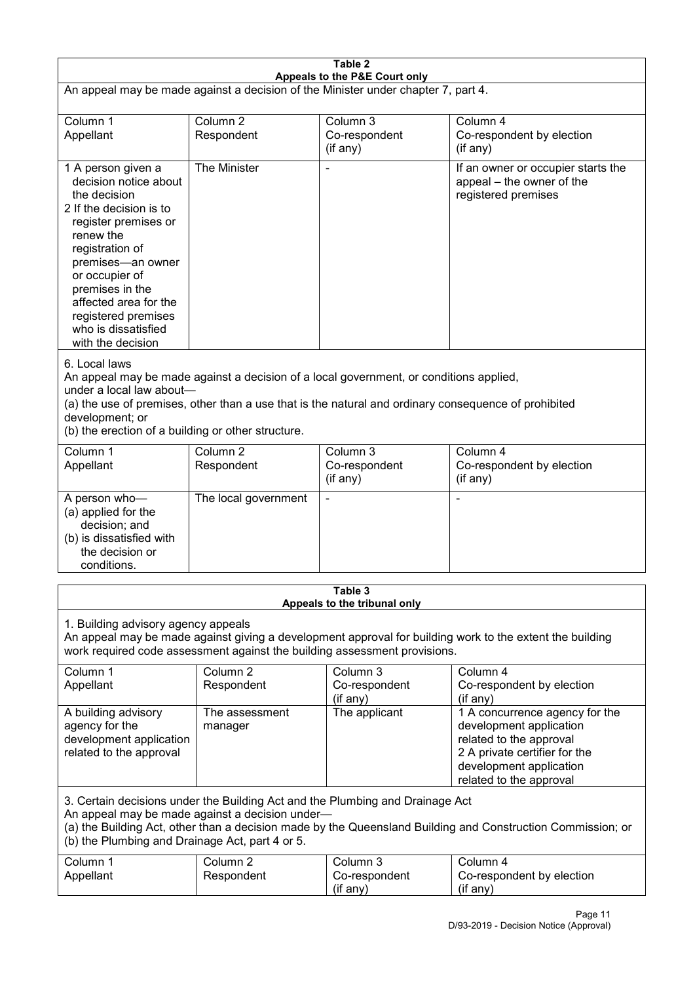| Table 2                                                                                                                                                                                                                                                                                                              |                                   |                                         |                                                                                                                                                                             |  |
|----------------------------------------------------------------------------------------------------------------------------------------------------------------------------------------------------------------------------------------------------------------------------------------------------------------------|-----------------------------------|-----------------------------------------|-----------------------------------------------------------------------------------------------------------------------------------------------------------------------------|--|
| Appeals to the P&E Court only<br>An appeal may be made against a decision of the Minister under chapter 7, part 4.                                                                                                                                                                                                   |                                   |                                         |                                                                                                                                                                             |  |
| Column 1<br>Appellant                                                                                                                                                                                                                                                                                                | Column <sub>2</sub><br>Respondent | Column 3<br>Co-respondent<br>(if any)   | Column 4<br>Co-respondent by election<br>(if any)                                                                                                                           |  |
| 1 A person given a<br>decision notice about<br>the decision<br>2 If the decision is to<br>register premises or<br>renew the<br>registration of<br>premises-an owner<br>or occupier of<br>premises in the<br>affected area for the<br>registered premises<br>who is dissatisfied<br>with the decision                 | The Minister                      |                                         | If an owner or occupier starts the<br>appeal - the owner of the<br>registered premises                                                                                      |  |
| 6. Local laws<br>An appeal may be made against a decision of a local government, or conditions applied,<br>under a local law about-<br>(a) the use of premises, other than a use that is the natural and ordinary consequence of prohibited<br>development; or<br>(b) the erection of a building or other structure. |                                   |                                         |                                                                                                                                                                             |  |
| Column 1<br>Appellant                                                                                                                                                                                                                                                                                                | Column <sub>2</sub><br>Respondent | Column 3<br>Co-respondent<br>(if any)   | Column 4<br>Co-respondent by election<br>(if any)                                                                                                                           |  |
| A person who-<br>(a) applied for the<br>decision; and<br>(b) is dissatisfied with<br>the decision or<br>conditions.                                                                                                                                                                                                  | The local government              |                                         | ٠                                                                                                                                                                           |  |
|                                                                                                                                                                                                                                                                                                                      |                                   | Table 3<br>Appeals to the tribunal only |                                                                                                                                                                             |  |
| 1. Building advisory agency appeals<br>An appeal may be made against giving a development approval for building work to the extent the building<br>work required code assessment against the building assessment provisions.                                                                                         |                                   |                                         |                                                                                                                                                                             |  |
| Column 1<br>Appellant                                                                                                                                                                                                                                                                                                | Column <sub>2</sub><br>Respondent | Column 3<br>Co-respondent<br>(if any)   | Column 4<br>Co-respondent by election<br>(if any)                                                                                                                           |  |
| A building advisory<br>agency for the<br>development application<br>related to the approval                                                                                                                                                                                                                          | The assessment<br>manager         | The applicant                           | 1 A concurrence agency for the<br>development application<br>related to the approval<br>2 A private certifier for the<br>development application<br>related to the approval |  |
| 3. Certain decisions under the Building Act and the Plumbing and Drainage Act<br>An appeal may be made against a decision under-<br>(a) the Building Act, other than a decision made by the Queensland Building and Construction Commission; or<br>(b) the Plumbing and Drainage Act, part 4 or 5.                   |                                   |                                         |                                                                                                                                                                             |  |
| Column 1<br>Appellant                                                                                                                                                                                                                                                                                                | Column <sub>2</sub><br>Respondent | Column 3<br>Co-respondent<br>(if any)   | Column 4<br>Co-respondent by election<br>(if any)                                                                                                                           |  |